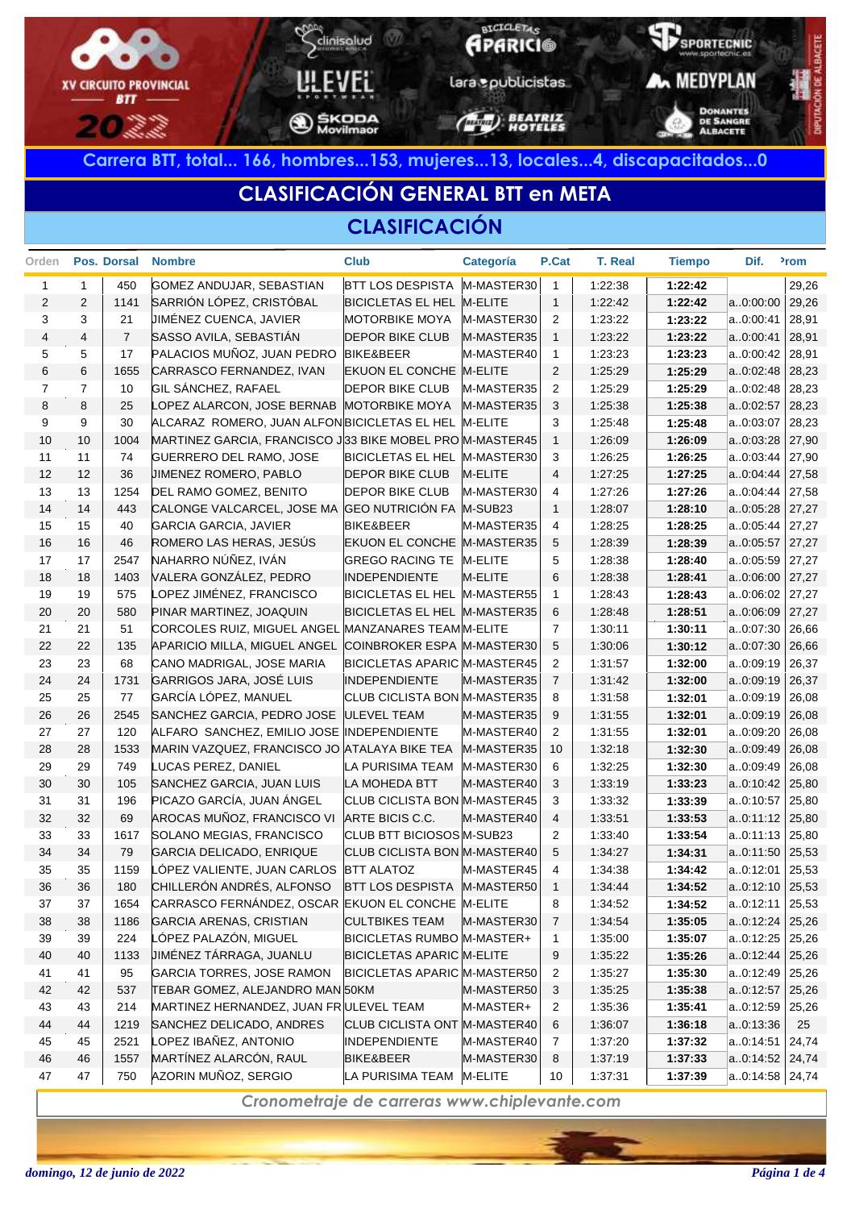

# **CLASIFICACIÓN GENERAL BTT en META**

#### **CLASIFICACIÓN**

| Orden          |                | Pos. Dorsal    | <b>Nombre</b>                                            | <b>Club</b>                         | Categoría      | P.Cat          | <b>T. Real</b> | <b>Tiempo</b> | Dif.              | <sup>2</sup> rom |
|----------------|----------------|----------------|----------------------------------------------------------|-------------------------------------|----------------|----------------|----------------|---------------|-------------------|------------------|
| $\mathbf{1}$   | $\mathbf{1}$   | 450            | GOMEZ ANDUJAR, SEBASTIAN                                 | <b>BTT LOS DESPISTA</b>             | M-MASTER30     | $\overline{1}$ | 1:22:38        | 1:22:42       |                   | 29,26            |
| $\overline{2}$ | 2              | 1141           | SARRIÓN LÓPEZ, CRISTÓBAL                                 | BICICLETAS EL HEL M-ELITE           |                | $\overline{1}$ | 1:22:42        | 1:22:42       | a0:00:00          | 29,26            |
| 3              | 3              | 21             | <b>JIMÉNEZ CUENCA, JAVIER</b>                            | <b>MOTORBIKE MOYA</b>               | M-MASTER30     | $\overline{2}$ | 1.23.22        | 1:23:22       | a0:00:41          | 28,91            |
| 4              | $\overline{4}$ | $\overline{7}$ | SASSO AVILA, SEBASTIÁN                                   | <b>DEPOR BIKE CLUB</b>              | M-MASTER35     | $\overline{1}$ | 1:23:22        | 1:23:22       | a0:00:41          | 28,91            |
| 5              | 5              | 17             | PALACIOS MUÑOZ, JUAN PEDRO                               | BIKE&BEER                           | M-MASTER40     | $\mathbf{1}$   | 1.23.23        | 1:23:23       | a0:00:42          | 28,91            |
| 6              | 6              | 1655           | CARRASCO FERNANDEZ, IVAN                                 | EKUON EL CONCHE M-ELITE             |                | 2              | 1.25.29        | 1:25:29       | a0:02:48          | 28,23            |
| $\overline{7}$ | $\overline{7}$ | 10             | GIL SÁNCHEZ, RAFAEL                                      | <b>DEPOR BIKE CLUB</b>              | M-MASTER35     | 2              | 1:25:29        | 1:25:29       | a0:02:48          | 28,23            |
| 8              | 8              | 25             | LOPEZ ALARCON, JOSE BERNAB                               | <b>MOTORBIKE MOYA</b>               | M-MASTER35     | 3              | 1:25:38        | 1:25:38       | a0:02:57          | 28,23            |
| 9              | 9              | 30             | ALCARAZ ROMERO, JUAN ALFON BICICLETAS EL HEL M-ELITE     |                                     |                | 3              | 1:25:48        | 1:25:48       | a0:03:07          | 28,23            |
| 10             | 10             | 1004           | MARTINEZ GARCIA, FRANCISCO J33 BIKE MOBEL PRO M-MASTER45 |                                     |                | $\overline{1}$ | 1:26:09        | 1:26:09       | a0:03:28          | 27,90            |
| 11             | 11             | 74             | <b>GUERRERO DEL RAMO, JOSE</b>                           | BICICLETAS EL HEL M-MASTER30        |                | 3              | 1:26:25        | 1:26:25       | a0:03:44          | 27,90            |
| 12             | 12             | 36             | <b>JIMENEZ ROMERO, PABLO</b>                             | <b>DEPOR BIKE CLUB</b>              | <b>M-ELITE</b> | $\overline{4}$ | 1.27:25        | 1:27:25       | a0:04:44          | 27,58            |
| 13             | 13             | 1254           | DEL RAMO GOMEZ, BENITO                                   | <b>DEPOR BIKE CLUB</b>              | M-MASTER30     | 4              | 1:27:26        | 1:27:26       | a0:04:44          | 27,58            |
| 14             | 14             | 443            | CALONGE VALCARCEL, JOSE MA                               | GEO NUTRICIÓN FA M-SUB23            |                | $\mathbf{1}$   | 1:28:07        | 1:28:10       | a0:05:28          | 27,27            |
| 15             | 15             | 40             | <b>GARCIA GARCIA, JAVIER</b>                             | <b>BIKE&amp;BEER</b>                | M-MASTER35     | 4              | 1:28:25        | 1:28:25       | a0:05:44          | 27,27            |
| 16             | 16             | 46             | ROMERO LAS HERAS, JESÚS                                  | EKUON EL CONCHE M-MASTER35          |                | 5              | 1:28:39        | 1:28:39       | a0:05:57          | 27,27            |
| 17             | 17             | 2547           | NAHARRO NÚÑEZ, IVÁN                                      | GREGO RACING TE M-ELITE             |                | 5              | 1:28:38        | 1:28:40       | a0:05:59          | 27,27            |
| 18             | 18             | 1403           | VALERA GONZÁLEZ, PEDRO                                   | <b>INDEPENDIENTE</b>                | <b>M-ELITE</b> | 6              | 1:28:38        | 1:28:41       | a0:06:00          | 27,27            |
| 19             | 19             | 575            | LOPEZ JIMÉNEZ, FRANCISCO                                 | BICICLETAS EL HEL M-MASTER55        |                | $\overline{1}$ | 1:28:43        | 1:28:43       | a0:06:02          | 27,27            |
| 20             | 20             | 580            | PINAR MARTINEZ, JOAQUIN                                  | BICICLETAS EL HEL M-MASTER35        |                | 6              | 1:28:48        | 1:28:51       | a0:06:09          | 27,27            |
| 21             | 21             | 51             | CORCOLES RUIZ, MIGUEL ANGEL                              | MANZANARES TEAM M-ELITE             |                | $\overline{7}$ | 1:30:11        | 1:30:11       | a0:07:30          | 26,66            |
| 22             | 22             | 135            | APARICIO MILLA, MIGUEL ANGEL                             | COINBROKER ESPA M-MASTER30          |                | 5              | 1:30:06        | 1:30:12       | a0:07:30          | 26,66            |
| 23             | 23             | 68             | CANO MADRIGAL, JOSE MARIA                                | <b>BICICLETAS APARIC M-MASTER45</b> |                | 2              | 1:31:57        | 1:32:00       | a0:09:19          | 26,37            |
| 24             | 24             | 1731           | GARRIGOS JARA, JOSÉ LUIS                                 | <b>INDEPENDIENTE</b>                | M-MASTER35     | $\overline{7}$ | 1:31:42        | 1:32:00       | a0:09:19          | 26,37            |
| 25             | 25             | 77             | GARCÍA LÓPEZ, MANUEL                                     | CLUB CICLISTA BON M-MASTER35        |                | 8              | 1:31:58        | 1:32:01       | a0:09:19          | 26,08            |
| 26             | 26             | 2545           | SANCHEZ GARCIA, PEDRO JOSE                               | ULEVEL TEAM                         | M-MASTER35     | 9              | 1:31:55        | 1:32:01       | a0:09:19          | 26,08            |
| 27             | 27             | 120            | ALFARO SANCHEZ, EMILIO JOSE INDEPENDIENTE                |                                     | M-MASTER40     | 2              | 1:31:55        | 1:32:01       | a0:09:20          | 26,08            |
| 28             | 28             | 1533           | MARIN VAZQUEZ, FRANCISCO JO ATALAYA BIKE TEA             |                                     | M-MASTER35     | 10             | 1:32:18        | 1:32:30       | a0:09:49          | 26,08            |
| 29             | 29             | 749            | LUCAS PEREZ, DANIEL                                      | LA PURISIMA TEAM                    | M-MASTER30     | 6              | 1:32:25        | 1:32:30       | a0:09:49          | 26,08            |
| 30             | 30             | 105            | SANCHEZ GARCIA, JUAN LUIS                                | LA MOHEDA BTT                       | M-MASTER40     | 3              | 1:33:19        | 1:33:23       | a0:10:42          | 25,80            |
| 31             | 31             | 196            | PICAZO GARCÍA, JUAN ÁNGEL                                | CLUB CICLISTA BON M-MASTER45        |                | 3              | 1:33:32        | 1:33:39       | a0:10:57          | 25,80            |
| 32             | 32             | 69             | AROCAS MUÑOZ, FRANCISCO VI                               | ARTE BICIS C.C.                     | M-MASTER40     | 4              | 1:33:51        | 1:33:53       | a0:11:12          | 25,80            |
| 33             | 33             | 1617           | SOLANO MEGIAS, FRANCISCO                                 | CLUB BTT BICIOSOS M-SUB23           |                | 2              | 1:33:40        | 1:33:54       | a0:11:13          | 25,80            |
| 34             | 34             | 79             | GARCIA DELICADO, ENRIQUE                                 | CLUB CICLISTA BON M-MASTER40        |                | 5              | 1:34:27        | 1:34:31       | a0:11:50          | 25,53            |
| 35             | 35             | 1159           | LÓPEZ VALIENTE, JUAN CARLOS                              | <b>BTT ALATOZ</b>                   | M-MASTER45     | 4              | 1:34:38        | 1:34:42       | a0:12:01          | 25,53            |
| 36             | 36             | 180            | CHILLERÓN ANDRÉS, ALFONSO                                | BTT LOS DESPISTA M-MASTER50         |                | $\mathbf{1}$   | 1:34:44        | 1:34:52       | a0:12:10          | 25,53            |
| 37             | 37             | 1654           | CARRASCO FERNÁNDEZ, OSCAR EKUON EL CONCHE M-ELITE        |                                     |                | 8              | 1:34:52        | 1:34:52       | a0:12:11          | 25,53            |
| 38             | 38             | 1186           | <b>GARCIA ARENAS, CRISTIAN</b>                           | <b>CULTBIKES TEAM</b>               | M-MASTER30     | 7              | 1:34:54        | 1:35:05       | a0:12:24          | 25,26            |
| 39             | 39             | 224            | LÓPEZ PALAZÓN, MIGUEL                                    | BICICLETAS RUMBO M-MASTER+          |                | 1              | 1:35:00        | 1:35:07       | a0:12:25          | 25,26            |
| 40             | 40             | 1133           | <b>JIMÉNEZ TÁRRAGA, JUANLU</b>                           | <b>BICICLETAS APARIC M-ELITE</b>    |                | 9              | 1:35:22        | 1:35:26       | a0:12:44          | 25,26            |
| 41             | 41             | 95             | GARCIA TORRES, JOSE RAMON                                | <b>BICICLETAS APARIC M-MASTER50</b> |                | $\overline{2}$ | 1:35:27        | 1:35:30       | a0:12:49          | 25,26            |
| 42             | 42             | 537            | TEBAR GOMEZ, ALEJANDRO MAN 50KM                          |                                     | M-MASTER50     | 3              | 1:35:25        | 1:35:38       | a0:12:57          | 25,26            |
| 43             | 43             | 214            | MARTINEZ HERNANDEZ, JUAN FR ULEVEL TEAM                  |                                     | M-MASTER+      | 2              | 1:35:36        | 1:35:41       | a0:12:59          | 25,26            |
| 44             | 44             | 1219           | SANCHEZ DELICADO, ANDRES                                 | CLUB CICLISTA ONT M-MASTER40        |                | 6              | 1:36:07        | 1:36:18       | a0:13:36          | 25               |
| 45             | 45             | 2521           | LOPEZ IBAÑEZ, ANTONIO                                    | <b>INDEPENDIENTE</b>                | M-MASTER40     | 7              | 1:37:20        | 1:37:32       | a0:14:51          | 24,74            |
| 46             | 46             | 1557           | MARTÍNEZ ALARCÓN, RAUL                                   | <b>BIKE&amp;BEER</b>                | M-MASTER30     | 8              | 1:37:19        | 1:37:33       | $a.0:14:52$ 24,74 |                  |
| 47             | 47             | 750            | AZORIN MUÑOZ, SERGIO                                     | LA PURISIMA TEAM                    | M-ELITE        | 10             | 1:37:31        | 1:37:39       | $a.0:14:58$ 24,74 |                  |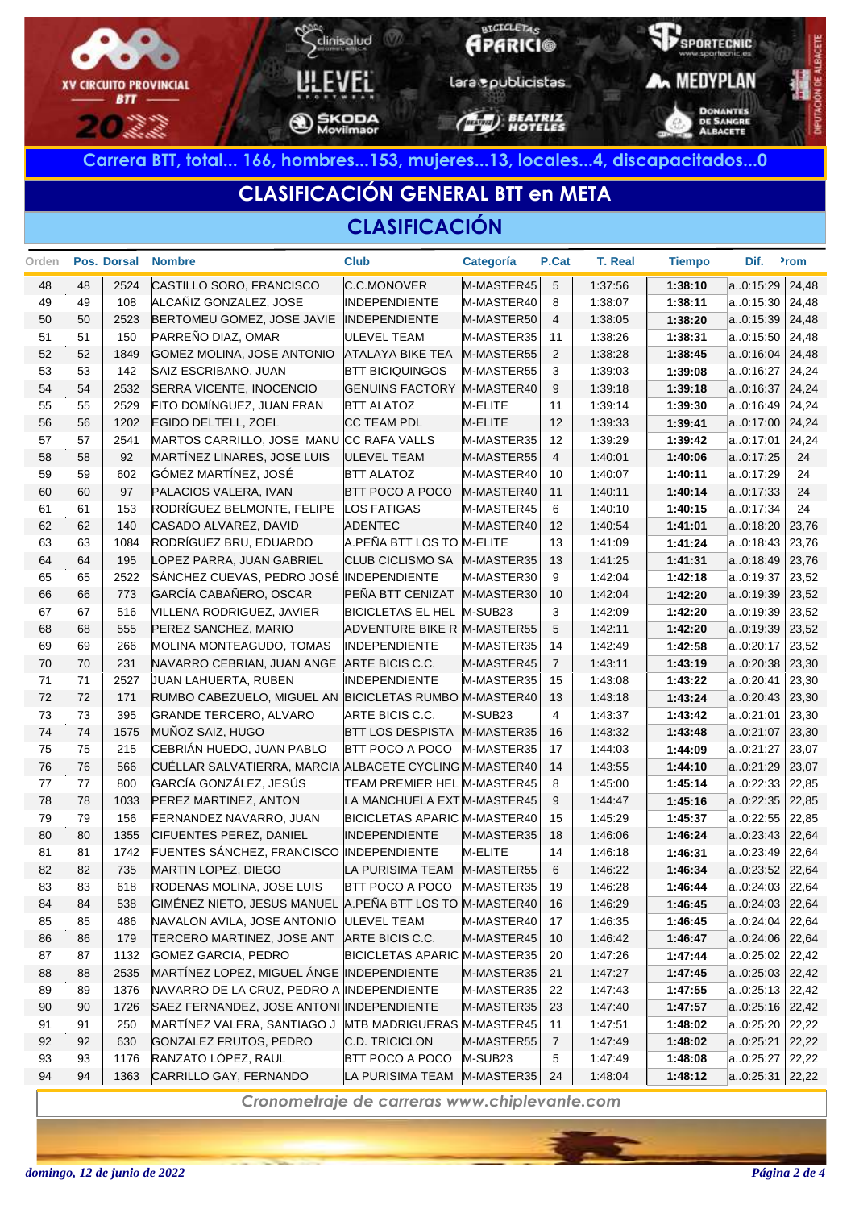

# **CLASIFICACIÓN GENERAL BTT en META**

#### **CLASIFICACIÓN**

| Orden |    | Pos. Dorsal | <b>Nombre</b>                                            | <b>Club</b>                       | Categoría           | P.Cat           | T. Real | <b>Tiempo</b> | Dif.              | <sup>2</sup> rom |
|-------|----|-------------|----------------------------------------------------------|-----------------------------------|---------------------|-----------------|---------|---------------|-------------------|------------------|
| 48    | 48 | 2524        | CASTILLO SORO, FRANCISCO                                 | C.C.MONOVER                       | M-MASTER45          | $5\phantom{.0}$ | 1:37:56 | 1:38:10       | a0:15:29          | 24,48            |
| 49    | 49 | 108         | ALCAÑIZ GONZALEZ, JOSE                                   | <b>INDEPENDIENTE</b>              | M-MASTER40          | 8               | 1.38.07 | 1:38:11       | a0:15:30          | 24,48            |
| 50    | 50 | 2523        | BERTOMEU GOMEZ, JOSE JAVIE                               | <b>INDEPENDIENTE</b>              | M-MASTER50          | $\overline{4}$  | 1:38:05 | 1:38:20       | a0:15:39          | 24,48            |
| 51    | 51 | 150         | PARREÑO DIAZ, OMAR                                       | <b>ULEVEL TEAM</b>                | M-MASTER35          | 11              | 1:38:26 | 1:38:31       | a0:15:50          | 24,48            |
| 52    | 52 | 1849        | GOMEZ MOLINA, JOSE ANTONIO                               | <b>ATALAYA BIKE TEA</b>           | M-MASTER55          | $\overline{2}$  | 1:38:28 | 1:38:45       | a0:16:04          | 24,48            |
| 53    | 53 | 142         | SAIZ ESCRIBANO, JUAN                                     | <b>BTT BICIQUINGOS</b>            | M-MASTER55          | 3               | 1:39:03 | 1:39:08       | a0:16:27          | 24,24            |
| 54    | 54 | 2532        | SERRA VICENTE, INOCENCIO                                 | <b>GENUINS FACTORY</b>            | M-MASTER40          | 9               | 1:39:18 | 1:39:18       | a0:16:37          | 24,24            |
| 55    | 55 | 2529        | FITO DOMÍNGUEZ, JUAN FRAN                                | <b>BTT ALATOZ</b>                 | M-ELITE             | 11              | 1.39.14 | 1:39:30       | a0:16:49          | 24,24            |
| 56    | 56 | 1202        | EGIDO DELTELL, ZOEL                                      | <b>CC TEAM PDL</b>                | M-ELITE             | 12              | 1:39:33 | 1:39:41       | a0:17:00          | 24,24            |
| 57    | 57 | 2541        | MARTOS CARRILLO, JOSE MANU CC RAFA VALLS                 |                                   | M-MASTER35          | 12              | 1:39:29 | 1:39:42       | a0:17:01          | 24,24            |
| 58    | 58 | 92          | MARTÍNEZ LINARES, JOSE LUIS                              | <b>ULEVEL TEAM</b>                | M-MASTER55          | $\overline{4}$  | 1:40:01 | 1:40:06       | a0:17:25          | 24               |
| 59    | 59 | 602         | GÓMEZ MARTÍNEZ, JOSÉ                                     | <b>BTT ALATOZ</b>                 | M-MASTER40          | 10              | 1:40:07 | 1:40:11       | a0:17:29          | 24               |
| 60    | 60 | 97          | PALACIOS VALERA, IVAN                                    | <b>BTT POCO A POCO</b>            | M-MASTER40          | 11              | 1:40:11 | 1:40:14       | a0:17:33          | 24               |
| 61    | 61 | 153         | RODRÍGUEZ BELMONTE, FELIPE                               | <b>LOS FATIGAS</b>                | M-MASTER45          | 6               | 1:40:10 | 1:40:15       | a0:17:34          | 24               |
| 62    | 62 | 140         | CASADO ALVAREZ, DAVID                                    | <b>ADENTEC</b>                    | M-MASTER40          | 12              | 1:40:54 | 1:41:01       | a0:18:20          | 23,76            |
| 63    | 63 | 1084        | RODRÍGUEZ BRU, EDUARDO                                   | A.PEÑA BTT LOS TO M-ELITE         |                     | 13              | 1:41:09 | 1:41:24       | a0:18:43          | 23,76            |
| 64    | 64 | 195         | LOPEZ PARRA, JUAN GABRIEL                                | CLUB CICLISMO SA M-MASTER35       |                     | 13              | 1:41:25 | 1:41:31       | a0:18:49          | 23,76            |
| 65    | 65 | 2522        | SÁNCHEZ CUEVAS, PEDRO JOSÉ INDEPENDIENTE                 |                                   | M-MASTER30          | 9               | 1:42:04 | 1:42:18       | a0:19:37          | 23,52            |
| 66    | 66 | 773         | GARCÍA CABAÑERO, OSCAR                                   | PEÑA BTT CENIZAT M-MASTER30       |                     | 10              | 1:42:04 | 1:42:20       | a0:19:39          | 23,52            |
| 67    | 67 | 516         | VILLENA RODRIGUEZ, JAVIER                                | BICICLETAS EL HEL M-SUB23         |                     | 3               | 1:42:09 | 1:42:20       | a0:19:39          | 23,52            |
| 68    | 68 | 555         | PEREZ SANCHEZ, MARIO                                     | ADVENTURE BIKE R M-MASTER55       |                     | 5               | 1:42:11 | 1:42:20       | a0:19:39          | 23,52            |
| 69    | 69 | 266         | MOLINA MONTEAGUDO, TOMAS                                 | <b>INDEPENDIENTE</b>              | M-MASTER35          | 14              | 1:42:49 | 1:42:58       | a0:20:17          | 23,52            |
| 70    | 70 | 231         | NAVARRO CEBRIAN, JUAN ANGE                               | ARTE BICIS C.C.                   | M-MASTER45          | $\overline{7}$  | 1:43:11 | 1:43:19       | a0:20:38          | 23,30            |
| 71    | 71 | 2527        | JUAN LAHUERTA, RUBEN                                     | <b>INDEPENDIENTE</b>              | M-MASTER35          | 15              | 1:43:08 | 1:43:22       | a0:20:41          | 23,30            |
| 72    | 72 | 171         | RUMBO CABEZUELO, MIGUEL AN BICICLETAS RUMBO M-MASTER40   |                                   |                     | 13              | 1:43:18 | 1:43:24       | a0:20:43          | 23,30            |
| 73    | 73 | 395         | <b>GRANDE TERCERO, ALVARO</b>                            | ARTE BICIS C.C.                   | M-SUB <sub>23</sub> | 4               | 1:43:37 | 1:43:42       | a0:21:01          | 23,30            |
| 74    | 74 | 1575        | MUÑOZ SAIZ, HUGO                                         | BTT LOS DESPISTA M-MASTER35       |                     | 16              | 1:43:32 | 1:43:48       | a0:21:07          | 23,30            |
| 75    | 75 | 215         | CEBRIÁN HUEDO, JUAN PABLO                                | <b>BTT POCO A POCO</b>            | M-MASTER35          | 17              | 1:44:03 | 1:44:09       | a0:21:27          | 23,07            |
| 76    | 76 | 566         | CUÉLLAR SALVATIERRA, MARCIA ALBACETE CYCLING M-MASTER40  |                                   |                     | 14              | 1:43:55 | 1:44:10       | a0:21:29          | 23,07            |
| 77    | 77 | 800         | GARCÍA GONZÁLEZ, JESÚS                                   | TEAM PREMIER HEL M-MASTER45       |                     | 8               | 1:45:00 | 1:45:14       | a0:22:33          | 22,85            |
| 78    | 78 | 1033        | PEREZ MARTINEZ, ANTON                                    | LA MANCHUELA EXT M-MASTER45       |                     | 9               | 1:44:47 | 1:45:16       | a0:22:35          | 22,85            |
| 79    | 79 | 156         | FERNANDEZ NAVARRO, JUAN                                  | BICICLETAS APARIC M-MASTER40      |                     | 15              | 1:45:29 | 1:45:37       | a0:22:55          | 22,85            |
| 80    | 80 | 1355        | CIFUENTES PEREZ, DANIEL                                  | <b>INDEPENDIENTE</b>              | M-MASTER35          | 18              | 1:46:06 | 1:46:24       | a0:23:43          | 22,64            |
| 81    | 81 | 1742        | FUENTES SÁNCHEZ, FRANCISCO                               | INDEPENDIENTE                     | M-ELITE             | 14              | 1:46:18 | 1:46:31       | a0:23:49          | 22,64            |
| 82    | 82 | 735         | MARTIN LOPEZ, DIEGO                                      | LA PURISIMA TEAM                  | M-MASTER55          | 6               | 1:46:22 | 1:46:34       | a0:23:52          | 22,64            |
| 83    | 83 | 618         | RODENAS MOLINA, JOSE LUIS                                | <b>BTT POCO A POCO</b>            | M-MASTER35          | 19              | 1:46:28 | 1:46:44       | a0:24:03          | 22,64            |
| 84    | 84 | 538         | GIMÉNEZ NIETO, JESUS MANUEL A.PEÑA BTT LOS TO M-MASTER40 |                                   |                     | 16              | 1:46:29 | 1:46:45       | a0:24:03          | 22,64            |
| 85    | 85 | 486         | NAVALON AVILA, JOSE ANTONIO                              | <b>ULEVEL TEAM</b>                | M-MASTER40          | 17              | 1:46:35 | 1:46:45       | a0:24:04          | 22,64            |
| 86    | 86 | 179         | TERCERO MARTINEZ, JOSE ANT                               | ARTE BICIS C.C.                   | M-MASTER45          | 10              | 1:46:42 | 1:46:47       | a0:24:06          | 22,64            |
| 87    | 87 | 1132        | <b>GOMEZ GARCIA, PEDRO</b>                               | BICICLETAS APARIC M-MASTER35      |                     | 20              | 1:47:26 | 1:47:44       | a0:25:02          | 22,42            |
| 88    | 88 | 2535        | MARTÍNEZ LOPEZ, MIGUEL ÁNGE INDEPENDIENTE                |                                   | M-MASTER35          | 21              | 1:47:27 | 1:47:45       | a0:25:03          | 22,42            |
| 89    | 89 | 1376        | NAVARRO DE LA CRUZ, PEDRO A INDEPENDIENTE                |                                   | M-MASTER35          | 22              | 1:47:43 | 1:47:55       | a0.25:13          | 22,42            |
| 90    | 90 | 1726        | SAEZ FERNANDEZ, JOSE ANTONI INDEPENDIENTE                |                                   | M-MASTER35          | 23              | 1:47:40 | 1:47:57       | $a.0:25:16$ 22,42 |                  |
| 91    | 91 | 250         | MARTÍNEZ VALERA, SANTIAGO J                              | <b>MTB MADRIGUERAS M-MASTER45</b> |                     | 11              | 1:47:51 | 1:48:02       | a0:25:20          | 22,22            |
| 92    | 92 | 630         | GONZALEZ FRUTOS, PEDRO                                   | C.D. TRICICLON                    | M-MASTER55          | 7               | 1:47:49 | 1:48:02       | a0:25:21          | 22,22            |
| 93    | 93 | 1176        | RANZATO LÓPEZ, RAUL                                      | <b>BTT POCO A POCO</b>            | M-SUB <sub>23</sub> | 5               | 1:47:49 | 1:48:08       | a0:25:27          | 22,22            |
| 94    | 94 | 1363        | CARRILLO GAY, FERNANDO                                   | LA PURISIMA TEAM                  | M-MASTER35          | 24              | 1:48:04 | 1:48:12       | $a.0:25:31$ 22,22 |                  |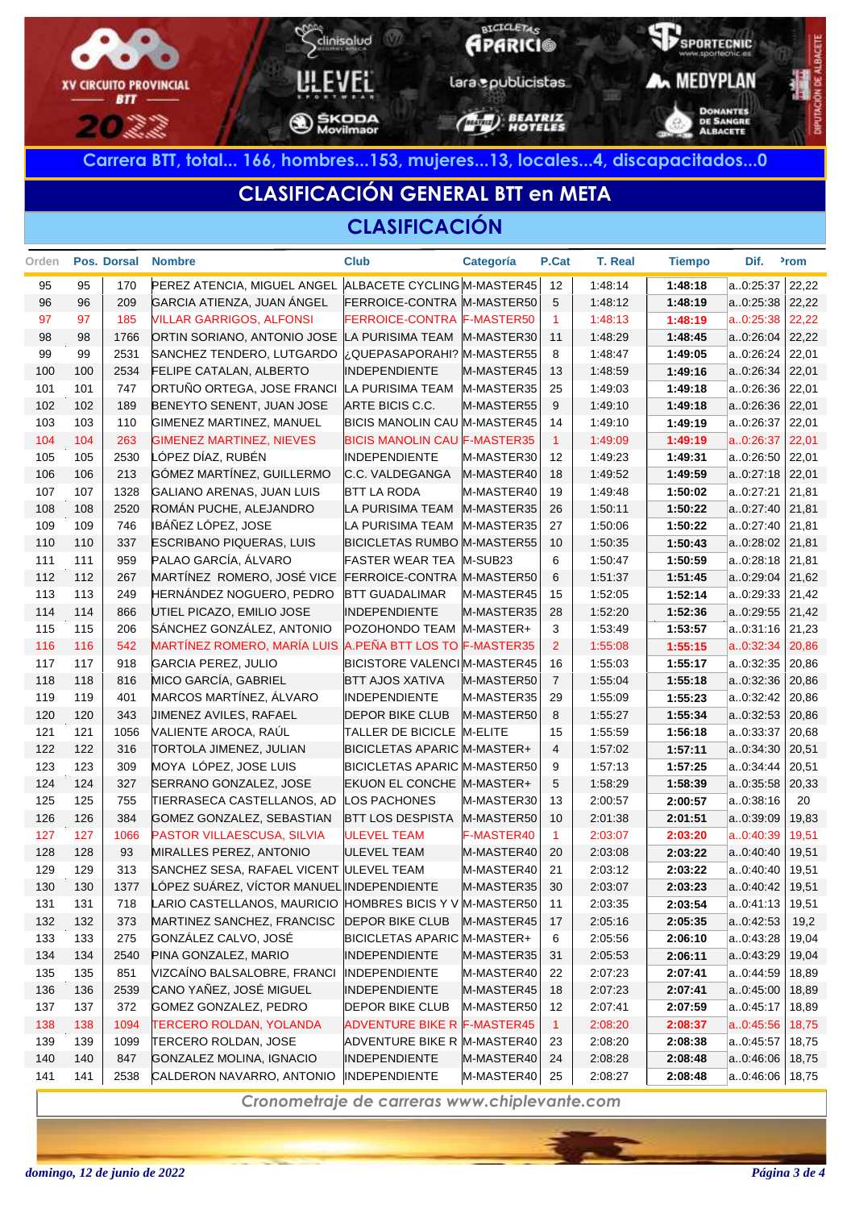

# **CLASIFICACIÓN GENERAL BTT en META**

#### **CLASIFICACIÓN**

| Orden |     | Pos. Dorsal | <b>Nombre</b>                                           | <b>Club</b>                         | Categoría  | P.Cat                | <b>T. Real</b> | <b>Tiempo</b> | Dif.      | <sup>2</sup> rom |
|-------|-----|-------------|---------------------------------------------------------|-------------------------------------|------------|----------------------|----------------|---------------|-----------|------------------|
| 95    | 95  | 170         | PEREZ ATENCIA, MIGUEL ANGEL ALBACETE CYCLING M-MASTER45 |                                     |            | 12                   | 1:48:14        | 1:48:18       | a0:25:37  | 22,22            |
| 96    | 96  | 209         | GARCIA ATIENZA, JUAN ÁNGEL                              | FERROICE-CONTRA M-MASTER50          |            | 5                    | 1:48:12        | 1:48:19       | a0:25:38  | 22,22            |
| 97    | 97  | 185         | <b>VILLAR GARRIGOS, ALFONSI</b>                         | FERROICE-CONTRA F-MASTER50          |            | $\blacktriangleleft$ | 1:48:13        | 1:48:19       | a.0:25:38 | 22,22            |
| 98    | 98  | 1766        | ORTIN SORIANO, ANTONIO JOSE                             | LA PURISIMA TEAM                    | M-MASTER30 | 11                   | 1:48:29        | 1:48:45       | a0:26:04  | 22,22            |
| 99    | 99  | 2531        | SANCHEZ TENDERO, LUTGARDO                               | ¿QUEPASAPORAHI? M-MASTER55          |            | 8                    | 1:48:47        | 1:49:05       | a0:26:24  | 22,01            |
| 100   | 100 | 2534        | <b>FELIPE CATALAN, ALBERTO</b>                          | <b>INDEPENDIENTE</b>                | M-MASTER45 | 13                   | 1:48:59        | 1:49:16       | a0:26:34  | 22,01            |
| 101   | 101 | 747         | ORTUÑO ORTEGA, JOSE FRANCI                              | LA PURISIMA TEAM                    | M-MASTER35 | 25                   | 1:49:03        | 1:49:18       | a0:26:36  | 22,01            |
| 102   | 102 | 189         | BENEYTO SENENT, JUAN JOSE                               | ARTE BICIS C.C.                     | M-MASTER55 | 9                    | 1:49:10        | 1:49:18       | a0:26:36  | 22,01            |
| 103   | 103 | 110         | GIMENEZ MARTINEZ, MANUEL                                | <b>BICIS MANOLIN CAU M-MASTER45</b> |            | 14                   | 1:49:10        | 1:49:19       | a0:26:37  | 22,01            |
| 104   | 104 | 263         | <b>GIMENEZ MARTINEZ, NIEVES</b>                         | <b>BICIS MANOLIN CAU F-MASTER35</b> |            | $\overline{1}$       | 1:49:09        | 1:49:19       | a.0:26:37 | 22,01            |
| 105   | 105 | 2530        | LÓPEZ DÍAZ, RUBÉN                                       | <b>INDEPENDIENTE</b>                | M-MASTER30 | 12                   | 1:49:23        | 1:49:31       | a0:26:50  | 22,01            |
| 106   | 106 | 213         | GÓMEZ MARTÍNEZ, GUILLERMO                               | C.C. VALDEGANGA                     | M-MASTER40 | 18                   | 1:49:52        | 1:49:59       | a0:27:18  | 22,01            |
| 107   | 107 | 1328        | GALIANO ARENAS, JUAN LUIS                               | <b>BTT LA RODA</b>                  | M-MASTER40 | 19                   | 1:49:48        | 1:50:02       | a0:27:21  | 21,81            |
| 108   | 108 | 2520        | ROMÁN PUCHE, ALEJANDRO                                  | LA PURISIMA TEAM                    | M-MASTER35 | 26                   | 1:50:11        | 1:50:22       | a0:27:40  | 21,81            |
| 109   | 109 | 746         | <b>IBÁÑEZ LÓPEZ, JOSE</b>                               | LA PURISIMA TEAM                    | M-MASTER35 | 27                   | 1:50:06        | 1:50:22       | a0:27:40  | 21,81            |
| 110   | 110 | 337         | <b>ESCRIBANO PIQUERAS, LUIS</b>                         | <b>BICICLETAS RUMBO M-MASTER55</b>  |            | 10                   | 1:50:35        | 1:50:43       | a0:28:02  | 21,81            |
| 111   | 111 | 959         | PALAO GARCÍA, ÁLVARO                                    | FASTER WEAR TEA M-SUB23             |            | 6                    | 1:50:47        | 1:50:59       | a0:28:18  | 21,81            |
| 112   | 112 | 267         | MARTÍNEZ ROMERO, JOSÉ VICE                              | FERROICE-CONTRA M-MASTER50          |            | 6                    | 1:51:37        | 1:51:45       | a0:29:04  | 21,62            |
| 113   | 113 | 249         | HERNÁNDEZ NOGUERO, PEDRO                                | <b>BTT GUADALIMAR</b>               | M-MASTER45 | 15                   | 1:52:05        | 1:52:14       | a0:29:33  | 21,42            |
| 114   | 114 | 866         | UTIEL PICAZO, EMILIO JOSE                               | <b>INDEPENDIENTE</b>                | M-MASTER35 | 28                   | 1:52:20        | 1:52:36       | a0:29:55  | 21,42            |
| 115   | 115 | 206         | SÁNCHEZ GONZÁLEZ, ANTONIO                               | POZOHONDO TEAM M-MASTER+            |            | 3                    | 1:53:49        | 1:53:57       | a0:31:16  | 21,23            |
| 116   | 116 | 542         | <b>MARTÍNEZ ROMERO, MARÍA LUIS</b>                      | A.PEÑA BTT LOS TO F-MASTER35        |            | $\overline{2}$       | 1:55:08        | 1:55:15       | a.0:32:34 | 20,86            |
| 117   | 117 | 918         | GARCIA PEREZ, JULIO                                     | <b>BICISTORE VALENCI M-MASTER45</b> |            | 16                   | 1:55:03        | 1:55:17       | a0:32:35  | 20,86            |
| 118   | 118 | 816         | MICO GARCÍA, GABRIEL                                    | <b>BTT AJOS XATIVA</b>              | M-MASTER50 | $\overline{7}$       | 1:55:04        | 1:55:18       | a.0.32:36 | 20,86            |
| 119   | 119 | 401         | MARCOS MARTÍNEZ, ÁLVARO                                 | <b>INDEPENDIENTE</b>                | M-MASTER35 | 29                   | 1:55:09        | 1:55:23       | a0:32:42  | 20,86            |
| 120   | 120 | 343         | JIMENEZ AVILES, RAFAEL                                  | <b>DEPOR BIKE CLUB</b>              | M-MASTER50 | 8                    | 1.55.27        | 1:55:34       | a0:32:53  | 20,86            |
| 121   | 121 | 1056        | VALIENTE AROCA, RAÚL                                    | TALLER DE BICICLE M-ELITE           |            | 15                   | 1:55:59        | 1:56:18       | a0:33:37  | 20,68            |
| 122   | 122 | 316         | TORTOLA JIMENEZ, JULIAN                                 | BICICLETAS APARIC M-MASTER+         |            | $\overline{4}$       | 1:57:02        | 1:57:11       | a0:34:30  | 20,51            |
| 123   | 123 | 309         | MOYA LÓPEZ, JOSE LUIS                                   | <b>BICICLETAS APARIC M-MASTER50</b> |            | 9                    | 1.57.13        | 1:57:25       | a0:34:44  | 20,51            |
| 124   | 124 | 327         | SERRANO GONZALEZ, JOSE                                  | EKUON EL CONCHE M-MASTER+           |            | 5                    | 1:58:29        | 1:58:39       | a0:35:58  | 20,33            |
| 125   | 125 | 755         | TIERRASECA CASTELLANOS, AD                              | LOS PACHONES                        | M-MASTER30 | 13                   | 2:00:57        | 2:00:57       | a0:38:16  | 20               |
| 126   | 126 | 384         | GOMEZ GONZALEZ, SEBASTIAN                               | <b>BTT LOS DESPISTA</b>             | M-MASTER50 | 10                   | 2:01:38        | 2:01:51       | a0:39:09  | 19,83            |
| 127   | 127 | 1066        | PASTOR VILLAESCUSA, SILVIA                              | <b>ULEVEL TEAM</b>                  | F-MASTER40 | $\mathbf{1}$         | 2:03:07        | 2:03:20       | a.0:40:39 | 19,51            |
| 128   | 128 | 93          | MIRALLES PEREZ, ANTONIO                                 | <b>ULEVEL TEAM</b>                  | M-MASTER40 | 20                   | 2:03:08        | 2:03:22       | a0:40:40  | 19,51            |
| 129   | 129 | 313         | SANCHEZ SESA, RAFAEL VICENT                             | <b>ULEVEL TEAM</b>                  | M-MASTER40 | 21                   | 2:03:12        | 2:03:22       | a0.40:40  | 19,51            |
| 130   | 130 | 1377        | LÓPEZ SUÁREZ, VÍCTOR MANUEL INDEPENDIENTE               |                                     | M-MASTER35 | 30                   | 2:03:07        | 2:03:23       | a0:40:42  | 19,51            |
| 131   | 131 | 718         | LARIO CASTELLANOS, MAURICIO                             | HOMBRES BICIS Y V M-MASTER50        |            | 11                   | 2:03:35        | 2:03:54       | a0:41:13  | 19,51            |
| 132   | 132 | 373         | MARTINEZ SANCHEZ, FRANCISC                              | <b>DEPOR BIKE CLUB</b>              | M-MASTER45 | 17                   | 2:05:16        | 2:05:35       | a0:42:53  | 19,2             |
| 133   | 133 | 275         | GONZÁLEZ CALVO, JOSÉ                                    | BICICLETAS APARIC M-MASTER+         |            | 6                    | 2:05:56        | 2:06:10       | a0:43:28  | 19,04            |
| 134   | 134 | 2540        | PINA GONZALEZ, MARIO                                    | <b>INDEPENDIENTE</b>                | M-MASTER35 | 31                   | 2:05:53        | 2:06:11       | a0:43:29  | 19,04            |
| 135   | 135 | 851         | VIZCAÍNO BALSALOBRE, FRANCI                             | <b>INDEPENDIENTE</b>                | M-MASTER40 | 22                   | 2:07:23        | 2:07:41       | a0:44:59  | 18,89            |
| 136   | 136 | 2539        | CANO YAÑEZ, JOSÉ MIGUEL                                 | <b>INDEPENDIENTE</b>                | M-MASTER45 | 18                   | 2:07:23        | 2:07:41       | a0:45:00  | 18,89            |
| 137   | 137 | 372         | GOMEZ GONZALEZ, PEDRO                                   | <b>DEPOR BIKE CLUB</b>              | M-MASTER50 | 12                   | 2:07:41        | 2:07:59       | a0:45:17  | 18,89            |
| 138   | 138 | 1094        | <b>TERCERO ROLDAN, YOLANDA</b>                          | <b>ADVENTURE BIKE R F-MASTER45</b>  |            | $\overline{1}$       | 2:08:20        | 2:08:37       | a0:45:56  | 18,75            |
| 139   | 139 | 1099        | TERCERO ROLDAN, JOSE                                    | ADVENTURE BIKE R M-MASTER40         |            | 23                   | 2:08:20        | 2:08:38       | a0:45:57  | 18,75            |
| 140   | 140 | 847         | GONZALEZ MOLINA, IGNACIO                                | <b>INDEPENDIENTE</b>                | M-MASTER40 | 24                   | 2:08:28        | 2:08:48       | a0:46:06  | 18,75            |
| 141   | 141 | 2538        | CALDERON NAVARRO, ANTONIO                               | <b>INDEPENDIENTE</b>                | M-MASTER40 | 25                   | 2:08:27        | 2:08:48       | a0:46:06  | 18,75            |
|       |     |             |                                                         |                                     |            |                      |                |               |           |                  |